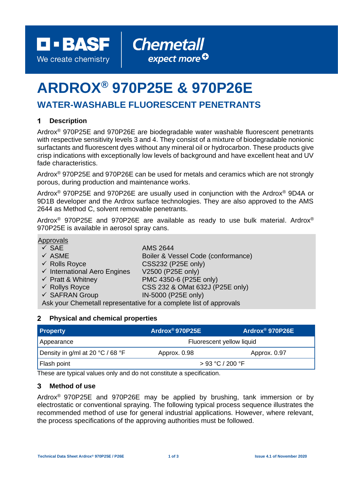**D-BASF** We create chemistry

# **ARDROX® 970P25E & 970P26E**

## **WATER-WASHABLE FLUORESCENT PENETRANTS**

#### $\mathbf 1$ **Description**

Ardrox® 970P25E and 970P26E are biodegradable water washable fluorescent penetrants with respective sensitivity levels 3 and 4. They consist of a mixture of biodegradable nonionic surfactants and fluorescent dyes without any mineral oil or hydrocarbon. These products give crisp indications with exceptionally low levels of background and have excellent heat and UV fade characteristics.

**Chemetall** 

expect more<sup>O</sup>

Ardrox® 970P25E and 970P26E can be used for metals and ceramics which are not strongly porous, during production and maintenance works.

Ardrox® 970P25E and 970P26E are usually used in conjunction with the Ardrox® 9D4A or 9D1B developer and the Ardrox surface technologies. They are also approved to the AMS 2644 as Method C, solvent removable penetrants.

Ardrox® 970P25E and 970P26E are available as ready to use bulk material. Ardrox® 970P25E is available in aerosol spray cans.

### **Approvals**

| $\checkmark$ SAE                                                   | <b>AMS 2644</b>                    |  |
|--------------------------------------------------------------------|------------------------------------|--|
| $\checkmark$ ASME                                                  | Boiler & Vessel Code (conformance) |  |
| $\checkmark$ Rolls Royce                                           | <b>CSS232 (P25E only)</b>          |  |
| $\checkmark$ International Aero Engines                            | V2500 (P25E only)                  |  |
| $\checkmark$ Pratt & Whitney                                       | PMC 4350-6 (P25E only)             |  |
| $\checkmark$ Rollys Royce                                          | CSS 232 & OMat 632J (P25E only)    |  |
| $\checkmark$ SAFRAN Group                                          | IN-5000 (P25E only)                |  |
| Ask your Chemetall representative for a complete list of approvals |                                    |  |

#### $\mathbf{2}$ **Physical and chemical properties**

| <b>Property</b>                  | Ardrox®970P25E            | Ardrox <sup>®</sup> 970P26E |
|----------------------------------|---------------------------|-----------------------------|
| Appearance                       | Fluorescent yellow liquid |                             |
| Density in g/ml at 20 °C / 68 °F | Approx. 0.98              | Approx. 0.97                |
| Flash point                      | > 93 °C / 200 °F          |                             |

These are typical values only and do not constitute a specification.

#### 3 **Method of use**

Ardrox® 970P25E and 970P26E may be applied by brushing, tank immersion or by electrostatic or conventional spraying. The following typical process sequence illustrates the recommended method of use for general industrial applications. However, where relevant, the process specifications of the approving authorities must be followed.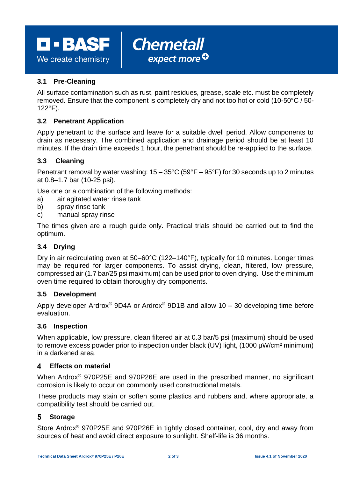**D - BASF** 

We create chemistry

### **3.1 Pre-Cleaning**

All surface contamination such as rust, paint residues, grease, scale etc. must be completely removed. Ensure that the component is completely dry and not too hot or cold (10-50°C / 50- 122°F).

expect more<sup>Q</sup>

**Chemetall** 

### **3.2 Penetrant Application**

Apply penetrant to the surface and leave for a suitable dwell period. Allow components to drain as necessary. The combined application and drainage period should be at least 10 minutes. If the drain time exceeds 1 hour, the penetrant should be re-applied to the surface.

### **3.3 Cleaning**

Penetrant removal by water washing:  $15 - 35^{\circ}$ C ( $59^{\circ}$ F –  $95^{\circ}$ F) for 30 seconds up to 2 minutes at 0.8–1.7 bar (10-25 psi).

Use one or a combination of the following methods:

- a) air agitated water rinse tank
- b) spray rinse tank
- c) manual spray rinse

The times given are a rough guide only. Practical trials should be carried out to find the optimum.

### **3.4 Drying**

Dry in air recirculating oven at 50–60°C (122–140°F), typically for 10 minutes. Longer times may be required for larger components. To assist drying, clean, filtered, low pressure, compressed air (1.7 bar/25 psi maximum) can be used prior to oven drying. Use the minimum oven time required to obtain thoroughly dry components.

### **3.5 Development**

Apply developer Ardrox<sup>®</sup> 9D4A or Ardrox<sup>®</sup> 9D1B and allow 10 – 30 developing time before evaluation.

### **3.6 Inspection**

When applicable, low pressure, clean filtered air at 0.3 bar/5 psi (maximum) should be used to remove excess powder prior to inspection under black (UV) light, (1000 µW/cm<sup>2</sup> minimum) in a darkened area.

#### $\blacktriangle$ **Effects on material**

When Ardrox® 970P25E and 970P26E are used in the prescribed manner, no significant corrosion is likely to occur on commonly used constructional metals.

These products may stain or soften some plastics and rubbers and, where appropriate, a compatibility test should be carried out.

#### **Storage** 5.

Store Ardrox® 970P25E and 970P26E in tightly closed container, cool, dry and away from sources of heat and avoid direct exposure to sunlight. Shelf-life is 36 months.